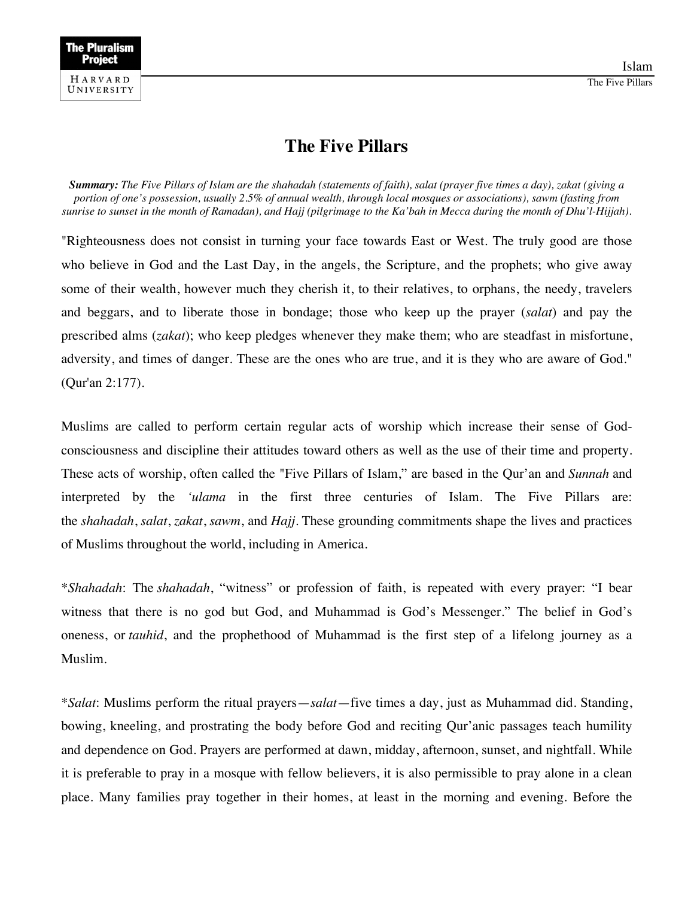

Islam



## **The Five Pillars**

*Summary: The Five Pillars of Islam are the shahadah (statements of faith), salat (prayer five times a day), zakat (giving a portion of one's possession, usually 2.5% of annual wealth, through local mosques or associations), sawm (fasting from sunrise to sunset in the month of Ramadan), and Hajj (pilgrimage to the Ka'bah in Mecca during the month of Dhu'l-Hijjah).*

"Righteousness does not consist in turning your face towards East or West. The truly good are those who believe in God and the Last Day, in the angels, the Scripture, and the prophets; who give away some of their wealth, however much they cherish it, to their relatives, to orphans, the needy, travelers and beggars, and to liberate those in bondage; those who keep up the prayer (*salat*) and pay the prescribed alms (*zakat*); who keep pledges whenever they make them; who are steadfast in misfortune, adversity, and times of danger. These are the ones who are true, and it is they who are aware of God." (Qur'an 2:177).

Muslims are called to perform certain regular acts of worship which increase their sense of Godconsciousness and discipline their attitudes toward others as well as the use of their time and property. These acts of worship, often called the "Five Pillars of Islam," are based in the Qur'an and *Sunnah* and interpreted by the *'ulama* in the first three centuries of Islam. The Five Pillars are: the *shahadah*, *salat*, *zakat*, *sawm*, and *Hajj.* These grounding commitments shape the lives and practices of Muslims throughout the world, including in America.

\**Shahadah*: The *shahadah*, "witness" or profession of faith, is repeated with every prayer: "I bear witness that there is no god but God, and Muhammad is God's Messenger." The belief in God's oneness, or *tauhid*, and the prophethood of Muhammad is the first step of a lifelong journey as a Muslim.

\**Salat*: Muslims perform the ritual prayers—*salat*—five times a day, just as Muhammad did. Standing, bowing, kneeling, and prostrating the body before God and reciting Qur'anic passages teach humility and dependence on God. Prayers are performed at dawn, midday, afternoon, sunset, and nightfall. While it is preferable to pray in a mosque with fellow believers, it is also permissible to pray alone in a clean place. Many families pray together in their homes, at least in the morning and evening. Before the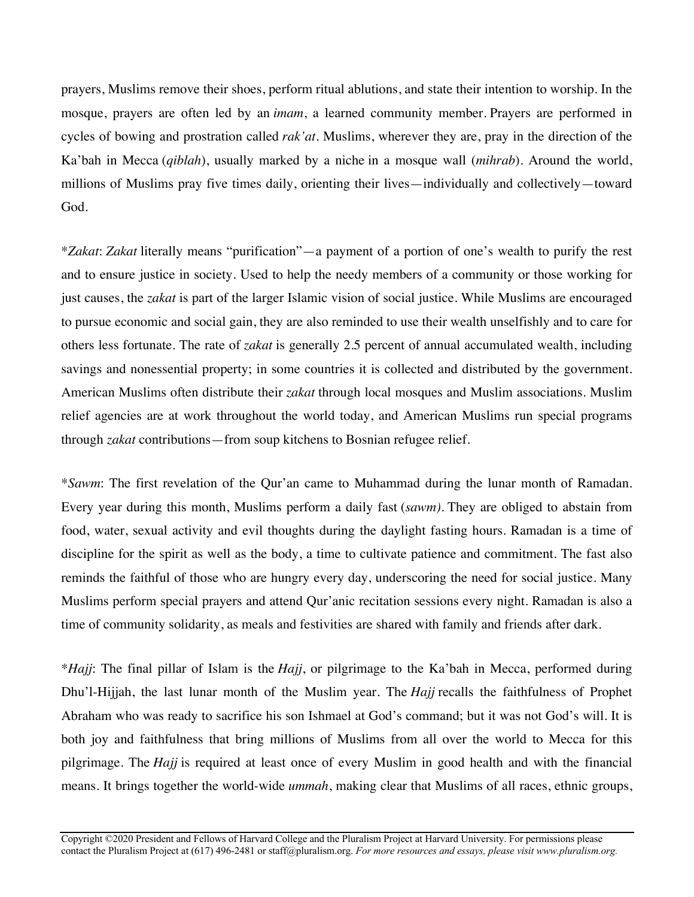prayers, Muslims remove their shoes, perform ritual ablutions, and state their intention to worship. In the mosque, prayers are often led by an *imam*, a learned community member. Prayers are performed in cycles of bowing and prostration called *rak'at*. Muslims, wherever they are, pray in the direction of the Ka'bah in Mecca (*qiblah*), usually marked by a niche in a mosque wall (*mihrab*). Around the world, millions of Muslims pray five times daily, orienting their lives—individually and collectively—toward God.

\**Zakat*: *Zakat* literally means "purification"—a payment of a portion of one's wealth to purify the rest and to ensure justice in society. Used to help the needy members of a community or those working for just causes, the *zakat* is part of the larger Islamic vision of social justice. While Muslims are encouraged to pursue economic and social gain, they are also reminded to use their wealth unselfishly and to care for others less fortunate. The rate of *zakat* is generally 2.5 percent of annual accumulated wealth, including savings and nonessential property; in some countries it is collected and distributed by the government. American Muslims often distribute their *zakat* through local mosques and Muslim associations. Muslim relief agencies are at work throughout the world today, and American Muslims run special programs through *zakat* contributions—from soup kitchens to Bosnian refugee relief.

\**Sawm*: The first revelation of the Qur'an came to Muhammad during the lunar month of Ramadan. Every year during this month, Muslims perform a daily fast (*sawm)*. They are obliged to abstain from food, water, sexual activity and evil thoughts during the daylight fasting hours. Ramadan is a time of discipline for the spirit as well as the body, a time to cultivate patience and commitment. The fast also reminds the faithful of those who are hungry every day, underscoring the need for social justice. Many Muslims perform special prayers and attend Qur'anic recitation sessions every night. Ramadan is also a time of community solidarity, as meals and festivities are shared with family and friends after dark.

\**Hajj*: The final pillar of Islam is the *Hajj*, or pilgrimage to the Ka'bah in Mecca, performed during Dhu'l-Hijjah, the last lunar month of the Muslim year. The *Hajj* recalls the faithfulness of Prophet Abraham who was ready to sacrifice his son Ishmael at God's command; but it was not God's will. It is both joy and faithfulness that bring millions of Muslims from all over the world to Mecca for this pilgrimage. The *Hajj* is required at least once of every Muslim in good health and with the financial means. It brings together the world-wide *ummah*, making clear that Muslims of all races, ethnic groups,